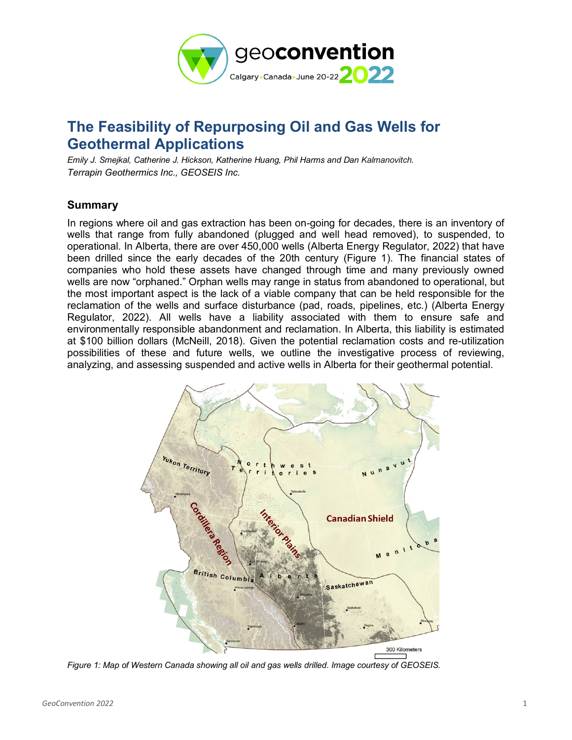

# **The Feasibility of Repurposing Oil and Gas Wells for Geothermal Applications**

*Emily J. Smejkal, Catherine J. Hickson, Katherine Huang, Phil Harms and Dan Kalmanovitch. Terrapin Geothermics Inc., GEOSEIS Inc.*

## **Summary**

In regions where oil and gas extraction has been on-going for decades, there is an inventory of wells that range from fully abandoned (plugged and well head removed), to suspended, to operational. In Alberta, there are over 450,000 wells (Alberta Energy Regulator, 2022) that have been drilled since the early decades of the 20th century [\(Figure 1\)](#page-0-0). The financial states of companies who hold these assets have changed through time and many previously owned wells are now "orphaned." Orphan wells may range in status from abandoned to operational, but the most important aspect is the lack of a viable company that can be held responsible for the reclamation of the wells and surface disturbance (pad, roads, pipelines, etc.) (Alberta Energy Regulator, 2022). All wells have a liability associated with them to ensure safe and environmentally responsible abandonment and reclamation. In Alberta, this liability is estimated at \$100 billion dollars (McNeill, 2018). Given the potential reclamation costs and re-utilization possibilities of these and future wells, we outline the investigative process of reviewing, analyzing, and assessing suspended and active wells in Alberta for their geothermal potential.



<span id="page-0-0"></span>*Figure 1: Map of Western Canada showing all oil and gas wells drilled. Image courtesy of GEOSEIS.*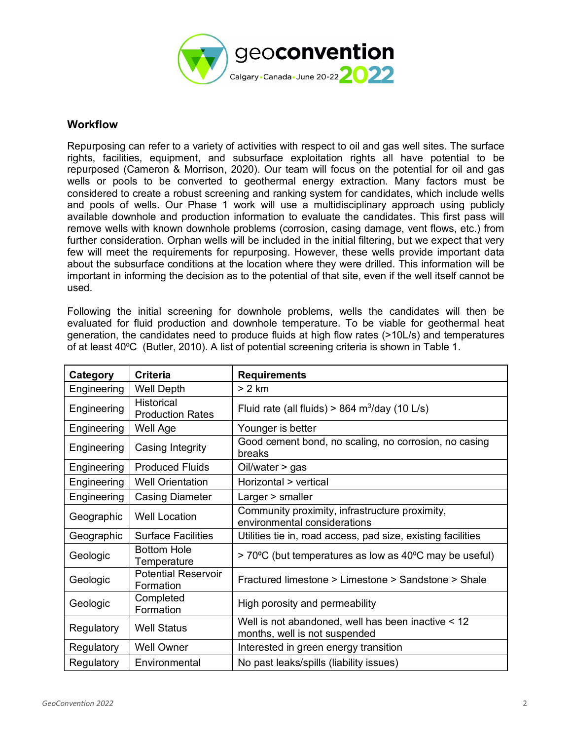

### **Workflow**

Repurposing can refer to a variety of activities with respect to oil and gas well sites. The surface rights, facilities, equipment, and subsurface exploitation rights all have potential to be repurposed (Cameron & Morrison, 2020). Our team will focus on the potential for oil and gas wells or pools to be converted to geothermal energy extraction. Many factors must be considered to create a robust screening and ranking system for candidates, which include wells and pools of wells. Our Phase 1 work will use a multidisciplinary approach using publicly available downhole and production information to evaluate the candidates. This first pass will remove wells with known downhole problems (corrosion, casing damage, vent flows, etc.) from further consideration. Orphan wells will be included in the initial filtering, but we expect that very few will meet the requirements for repurposing. However, these wells provide important data about the subsurface conditions at the location where they were drilled. This information will be important in informing the decision as to the potential of that site, even if the well itself cannot be used.

Following the initial screening for downhole problems, wells the candidates will then be evaluated for fluid production and downhole temperature. To be viable for geothermal heat generation, the candidates need to produce fluids at high flow rates (>10L/s) and temperatures of at least 40⁰C (Butler, 2010). A list of potential screening criteria is shown in [Table 1.](#page-2-0)

| Category    | <b>Criteria</b>                              | <b>Requirements</b>                                                                 |
|-------------|----------------------------------------------|-------------------------------------------------------------------------------------|
| Engineering | <b>Well Depth</b>                            | > 2 km                                                                              |
| Engineering | <b>Historical</b><br><b>Production Rates</b> | Fluid rate (all fluids) > 864 $m^3$ /day (10 L/s)                                   |
| Engineering | Well Age                                     | Younger is better                                                                   |
| Engineering | Casing Integrity                             | Good cement bond, no scaling, no corrosion, no casing<br>breaks                     |
| Engineering | <b>Produced Fluids</b>                       | Oil/water > gas                                                                     |
| Engineering | <b>Well Orientation</b>                      | Horizontal > vertical                                                               |
| Engineering | <b>Casing Diameter</b>                       | Larger > smaller                                                                    |
| Geographic  | <b>Well Location</b>                         | Community proximity, infrastructure proximity,<br>environmental considerations      |
| Geographic  | <b>Surface Facilities</b>                    | Utilities tie in, road access, pad size, existing facilities                        |
| Geologic    | <b>Bottom Hole</b><br>Temperature            | > 70°C (but temperatures as low as 40°C may be useful)                              |
| Geologic    | <b>Potential Reservoir</b><br>Formation      | Fractured limestone > Limestone > Sandstone > Shale                                 |
| Geologic    | Completed<br>Formation                       | High porosity and permeability                                                      |
| Regulatory  | <b>Well Status</b>                           | Well is not abandoned, well has been inactive < 12<br>months, well is not suspended |
| Regulatory  | <b>Well Owner</b>                            | Interested in green energy transition                                               |
| Regulatory  | Environmental                                | No past leaks/spills (liability issues)                                             |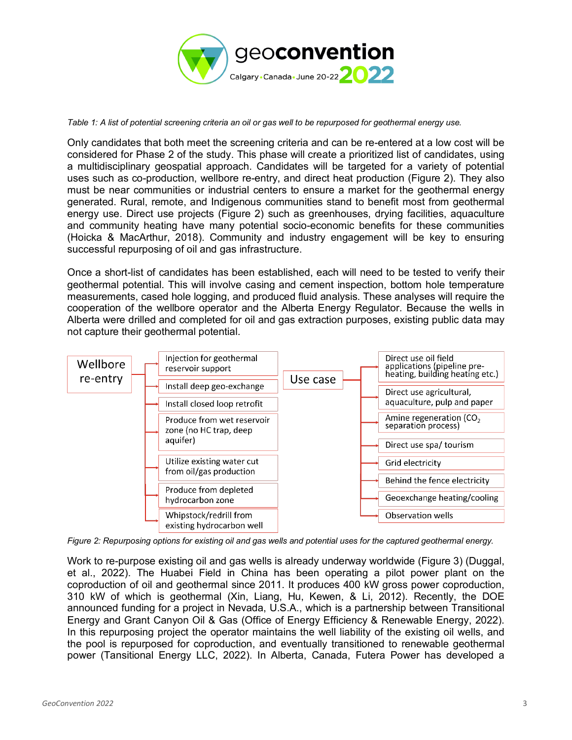

<span id="page-2-0"></span>*Table 1: A list of potential screening criteria an oil or gas well to be repurposed for geothermal energy use.* 

Only candidates that both meet the screening criteria and can be re-entered at a low cost will be considered for Phase 2 of the study. This phase will create a prioritized list of candidates, using a multidisciplinary geospatial approach. Candidates will be targeted for a variety of potential uses such as co-production, wellbore re-entry, and direct heat production [\(Figure 2\)](#page-2-1). They also must be near communities or industrial centers to ensure a market for the geothermal energy generated. Rural, remote, and Indigenous communities stand to benefit most from geothermal energy use. Direct use projects [\(Figure 2\)](#page-2-1) such as greenhouses, drying facilities, aquaculture and community heating have many potential socio-economic benefits for these communities (Hoicka & MacArthur, 2018). Community and industry engagement will be key to ensuring successful repurposing of oil and gas infrastructure.

Once a short-list of candidates has been established, each will need to be tested to verify their geothermal potential. This will involve casing and cement inspection, bottom hole temperature measurements, cased hole logging, and produced fluid analysis. These analyses will require the cooperation of the wellbore operator and the Alberta Energy Regulator. Because the wells in Alberta were drilled and completed for oil and gas extraction purposes, existing public data may not capture their geothermal potential.



<span id="page-2-1"></span>*Figure 2: Repurposing options for existing oil and gas wells and potential uses for the captured geothermal energy.*

Work to re-purpose existing oil and gas wells is already underway worldwide (Figure 3) (Duggal, et al., 2022). The Huabei Field in China has been operating a pilot power plant on the coproduction of oil and geothermal since 2011. It produces 400 kW gross power coproduction, 310 kW of which is geothermal (Xin, Liang, Hu, Kewen, & Li, 2012). Recently, the DOE announced funding for a project in Nevada, U.S.A., which is a partnership between Transitional Energy and Grant Canyon Oil & Gas (Office of Energy Efficiency & Renewable Energy, 2022). In this repurposing project the operator maintains the well liability of the existing oil wells, and the pool is repurposed for coproduction, and eventually transitioned to renewable geothermal power (Tansitional Energy LLC, 2022). In Alberta, Canada, Futera Power has developed a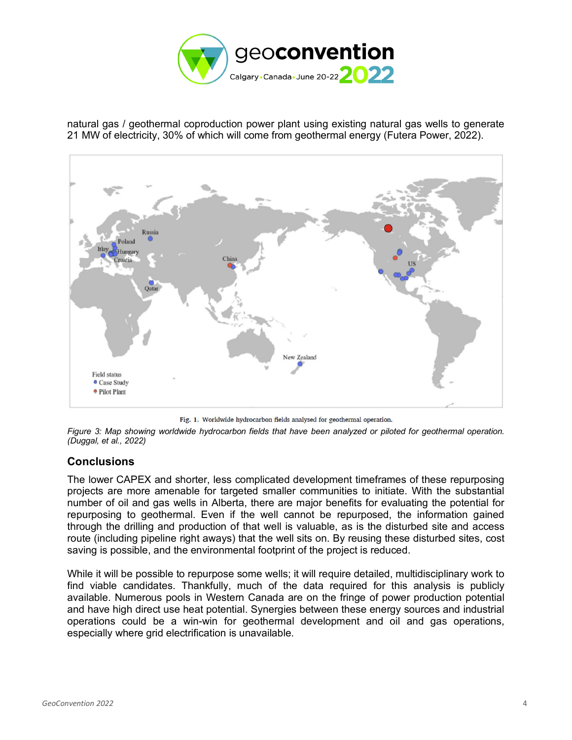

natural gas / geothermal coproduction power plant using existing natural gas wells to generate 21 MW of electricity, 30% of which will come from geothermal energy (Futera Power, 2022).



Fig. 1. Worldwide hydrocarbon fields analysed for geothermal operation.

*Figure 3: Map showing worldwide hydrocarbon fields that have been analyzed or piloted for geothermal operation. (Duggal, et al., 2022)*

#### **Conclusions**

The lower CAPEX and shorter, less complicated development timeframes of these repurposing projects are more amenable for targeted smaller communities to initiate. With the substantial number of oil and gas wells in Alberta, there are major benefits for evaluating the potential for repurposing to geothermal. Even if the well cannot be repurposed, the information gained through the drilling and production of that well is valuable, as is the disturbed site and access route (including pipeline right aways) that the well sits on. By reusing these disturbed sites, cost saving is possible, and the environmental footprint of the project is reduced.

While it will be possible to repurpose some wells; it will require detailed, multidisciplinary work to find viable candidates. Thankfully, much of the data required for this analysis is publicly available. Numerous pools in Western Canada are on the fringe of power production potential and have high direct use heat potential. Synergies between these energy sources and industrial operations could be a win-win for geothermal development and oil and gas operations, especially where grid electrification is unavailable.